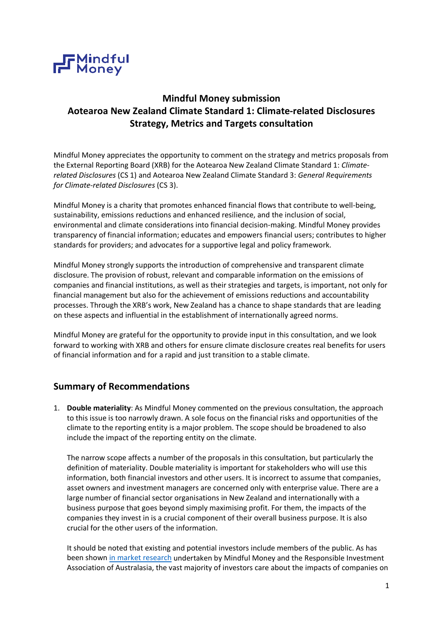

## **Mindful Money submission Aotearoa New Zealand Climate Standard 1: Climate-related Disclosures Strategy, Metrics and Targets consultation**

Mindful Money appreciates the opportunity to comment on the strategy and metrics proposals from the External Reporting Board (XRB) for the Aotearoa New Zealand Climate Standard 1: *Climaterelated Disclosures* (CS 1) and Aotearoa New Zealand Climate Standard 3: *General Requirements for Climate-related Disclosures* (CS 3).

Mindful Money is a charity that promotes enhanced financial flows that contribute to well-being, sustainability, emissions reductions and enhanced resilience, and the inclusion of social, environmental and climate considerations into financial decision-making. Mindful Money provides transparency of financial information; educates and empowers financial users; contributes to higher standards for providers; and advocates for a supportive legal and policy framework.

Mindful Money strongly supports the introduction of comprehensive and transparent climate disclosure. The provision of robust, relevant and comparable information on the emissions of companies and financial institutions, as well as their strategies and targets, is important, not only for financial management but also for the achievement of emissions reductions and accountability processes. Through the XRB's work, New Zealand has a chance to shape standards that are leading on these aspects and influential in the establishment of internationally agreed norms.

Mindful Money are grateful for the opportunity to provide input in this consultation, and we look forward to working with XRB and others for ensure climate disclosure creates real benefits for users of financial information and for a rapid and just transition to a stable climate.

## **Summary of Recommendations**

1. **Double materiality**: As Mindful Money commented on the previous consultation, the approach to this issue is too narrowly drawn. A sole focus on the financial risks and opportunities of the climate to the reporting entity is a major problem. The scope should be broadened to also include the impact of the reporting entity on the climate.

The narrow scope affects a number of the proposals in this consultation, but particularly the definition of materiality. Double materiality is important for stakeholders who will use this information, both financial investors and other users. It is incorrect to assume that companies, asset owners and investment managers are concerned only with enterprise value. There are a large number of financial sector organisations in New Zealand and internationally with a business purpose that goes beyond simply maximising profit. For them, the impacts of the companies they invest in is a crucial component of their overall business purpose. It is also crucial for the other users of the information.

It should be noted that existing and potential investors include members of the public. As has been shown [in market research](https://mindfulmoney.nz/news/entry/charting-consumer-demand-responsible-investing-aot/) undertaken by Mindful Money and the Responsible Investment Association of Australasia, the vast majority of investors care about the impacts of companies on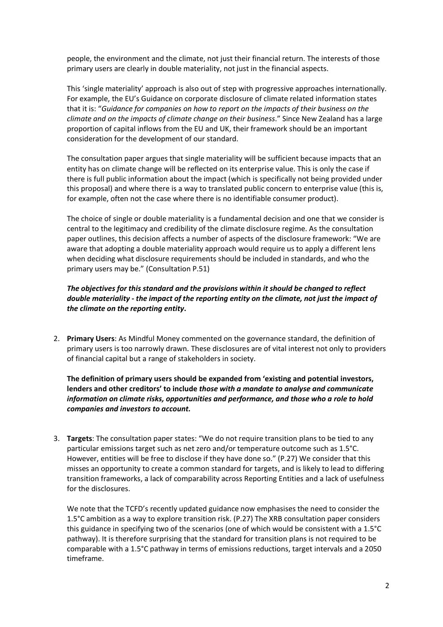people, the environment and the climate, not just their financial return. The interests of those primary users are clearly in double materiality, not just in the financial aspects.

This 'single materiality' approach is also out of step with progressive approaches internationally. For example, the EU's Guidance on corporate disclosure of climate related information states that it is: "*Guidance for companies on how to report on the impacts of their business on the climate and on the impacts of climate change on their business*." Since New Zealand has a large proportion of capital inflows from the EU and UK, their framework should be an important consideration for the development of our standard.

The consultation paper argues that single materiality will be sufficient because impacts that an entity has on climate change will be reflected on its enterprise value. This is only the case if there is full public information about the impact (which is specifically not being provided under this proposal) and where there is a way to translated public concern to enterprise value (this is, for example, often not the case where there is no identifiable consumer product).

The choice of single or double materiality is a fundamental decision and one that we consider is central to the legitimacy and credibility of the climate disclosure regime. As the consultation paper outlines, this decision affects a number of aspects of the disclosure framework: "We are aware that adopting a double materiality approach would require us to apply a different lens when deciding what disclosure requirements should be included in standards, and who the primary users may be." (Consultation P.51)

## *The objectives for this standard and the provisions within it should be changed to reflect double materiality - the impact of the reporting entity on the climate, not just the impact of the climate on the reporting entity***.**

2. **Primary Users**: As Mindful Money commented on the governance standard, the definition of primary users is too narrowly drawn. These disclosures are of vital interest not only to providers of financial capital but a range of stakeholders in society.

**The definition of primary users should be expanded from 'existing and potential investors, lenders and other creditors' to include** *those with a mandate to analyse and communicate information on climate risks, opportunities and performance, and those who a role to hold companies and investors to account.*

3. **Targets**: The consultation paper states: "We do not require transition plans to be tied to any particular emissions target such as net zero and/or temperature outcome such as 1.5°C. However, entities will be free to disclose if they have done so." (P.27) We consider that this misses an opportunity to create a common standard for targets, and is likely to lead to differing transition frameworks, a lack of comparability across Reporting Entities and a lack of usefulness for the disclosures.

We note that the TCFD's recently updated guidance now emphasises the need to consider the 1.5°C ambition as a way to explore transition risk. (P.27) The XRB consultation paper considers this guidance in specifying two of the scenarios (one of which would be consistent with a 1.5°C pathway). It is therefore surprising that the standard for transition plans is not required to be comparable with a 1.5°C pathway in terms of emissions reductions, target intervals and a 2050 timeframe.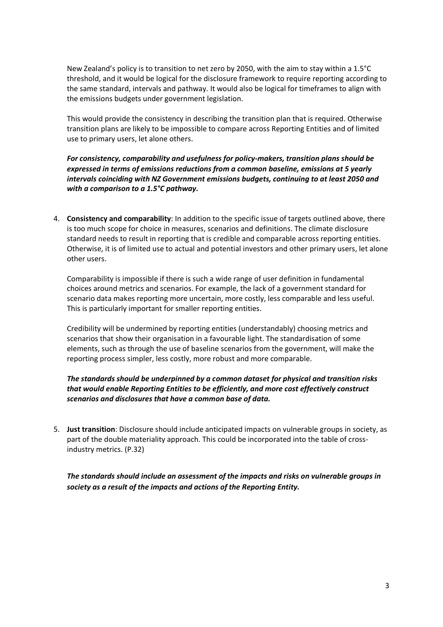New Zealand's policy is to transition to net zero by 2050, with the aim to stay within a 1.5°C threshold, and it would be logical for the disclosure framework to require reporting according to the same standard, intervals and pathway. It would also be logical for timeframes to align with the emissions budgets under government legislation.

This would provide the consistency in describing the transition plan that is required. Otherwise transition plans are likely to be impossible to compare across Reporting Entities and of limited use to primary users, let alone others.

*For consistency, comparability and usefulness for policy-makers, transition plans should be expressed in terms of emissions reductions from a common baseline, emissions at 5 yearly intervals coinciding with NZ Government emissions budgets, continuing to at least 2050 and with a comparison to a 1.5°C pathway.*

4. **Consistency and comparability**: In addition to the specific issue of targets outlined above, there is too much scope for choice in measures, scenarios and definitions. The climate disclosure standard needs to result in reporting that is credible and comparable across reporting entities. Otherwise, it is of limited use to actual and potential investors and other primary users, let alone other users.

Comparability is impossible if there is such a wide range of user definition in fundamental choices around metrics and scenarios. For example, the lack of a government standard for scenario data makes reporting more uncertain, more costly, less comparable and less useful. This is particularly important for smaller reporting entities.

Credibility will be undermined by reporting entities (understandably) choosing metrics and scenarios that show their organisation in a favourable light. The standardisation of some elements, such as through the use of baseline scenarios from the government, will make the reporting process simpler, less costly, more robust and more comparable.

*The standards should be underpinned by a common dataset for physical and transition risks that would enable Reporting Entities to be efficiently, and more cost effectively construct scenarios and disclosures that have a common base of data.*

5. **Just transition**: Disclosure should include anticipated impacts on vulnerable groups in society, as part of the double materiality approach. This could be incorporated into the table of crossindustry metrics. (P.32)

*The standards should include an assessment of the impacts and risks on vulnerable groups in society as a result of the impacts and actions of the Reporting Entity.*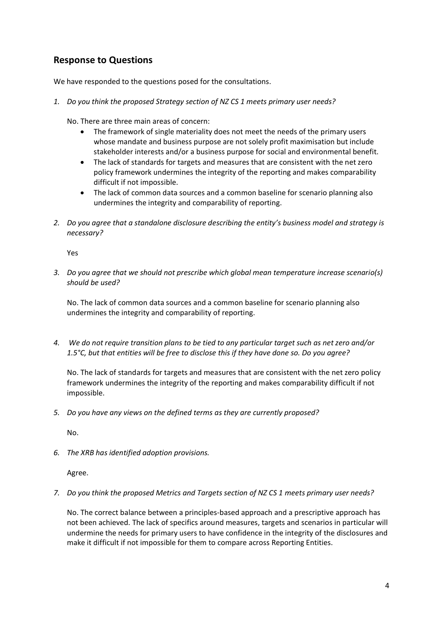## **Response to Questions**

We have responded to the questions posed for the consultations.

*1. Do you think the proposed Strategy section of NZ CS 1 meets primary user needs?*

No. There are three main areas of concern:

- The framework of single materiality does not meet the needs of the primary users whose mandate and business purpose are not solely profit maximisation but include stakeholder interests and/or a business purpose for social and environmental benefit.
- The lack of standards for targets and measures that are consistent with the net zero policy framework undermines the integrity of the reporting and makes comparability difficult if not impossible.
- The lack of common data sources and a common baseline for scenario planning also undermines the integrity and comparability of reporting.
- *2. Do you agree that a standalone disclosure describing the entity's business model and strategy is necessary?*

Yes

*3. Do you agree that we should not prescribe which global mean temperature increase scenario(s) should be used?*

No. The lack of common data sources and a common baseline for scenario planning also undermines the integrity and comparability of reporting.

*4. We do not require transition plans to be tied to any particular target such as net zero and/or 1.5°C, but that entities will be free to disclose this if they have done so. Do you agree?*

No. The lack of standards for targets and measures that are consistent with the net zero policy framework undermines the integrity of the reporting and makes comparability difficult if not impossible.

*5. Do you have any views on the defined terms as they are currently proposed?*

No.

*6. The XRB has identified adoption provisions.*

Agree.

*7. Do you think the proposed Metrics and Targets section of NZ CS 1 meets primary user needs?*

No. The correct balance between a principles-based approach and a prescriptive approach has not been achieved. The lack of specifics around measures, targets and scenarios in particular will undermine the needs for primary users to have confidence in the integrity of the disclosures and make it difficult if not impossible for them to compare across Reporting Entities.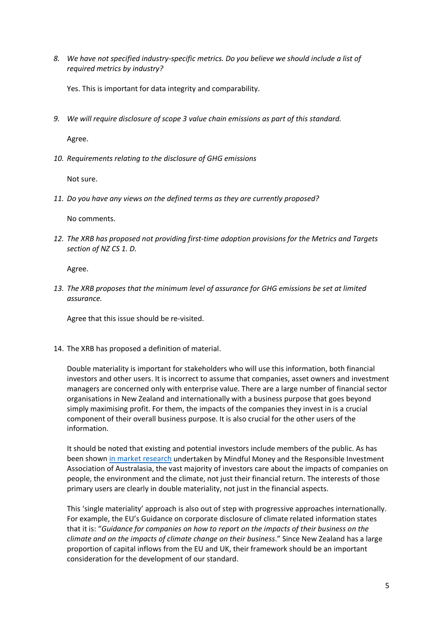*8. We have not specified industry-specific metrics. Do you believe we should include a list of required metrics by industry?*

Yes. This is important for data integrity and comparability.

*9. We will require disclosure of scope 3 value chain emissions as part of this standard.* 

Agree.

*10. Requirements relating to the disclosure of GHG emissions*

Not sure.

*11. Do you have any views on the defined terms as they are currently proposed?*

No comments.

*12. The XRB has proposed not providing first-time adoption provisions for the Metrics and Targets section of NZ CS 1. D.*

Agree.

*13. The XRB proposes that the minimum level of assurance for GHG emissions be set at limited assurance.*

Agree that this issue should be re-visited.

14. The XRB has proposed a definition of material.

Double materiality is important for stakeholders who will use this information, both financial investors and other users. It is incorrect to assume that companies, asset owners and investment managers are concerned only with enterprise value. There are a large number of financial sector organisations in New Zealand and internationally with a business purpose that goes beyond simply maximising profit. For them, the impacts of the companies they invest in is a crucial component of their overall business purpose. It is also crucial for the other users of the information.

It should be noted that existing and potential investors include members of the public. As has been shown [in market research](https://mindfulmoney.nz/news/entry/charting-consumer-demand-responsible-investing-aot/) undertaken by Mindful Money and the Responsible Investment Association of Australasia, the vast majority of investors care about the impacts of companies on people, the environment and the climate, not just their financial return. The interests of those primary users are clearly in double materiality, not just in the financial aspects.

This 'single materiality' approach is also out of step with progressive approaches internationally. For example, the EU's Guidance on corporate disclosure of climate related information states that it is: "*Guidance for companies on how to report on the impacts of their business on the climate and on the impacts of climate change on their business*." Since New Zealand has a large proportion of capital inflows from the EU and UK, their framework should be an important consideration for the development of our standard.